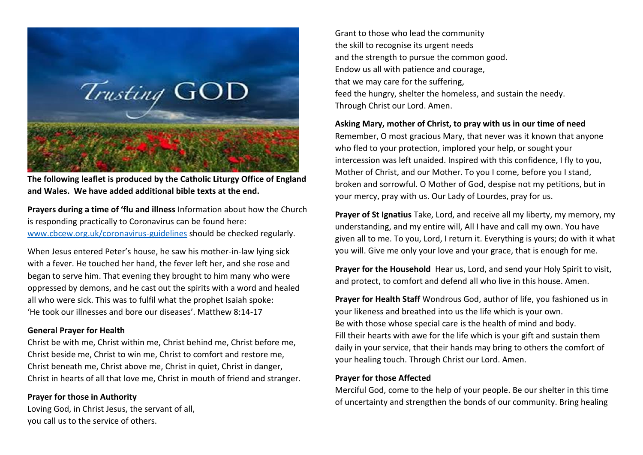

**The following leaflet is produced by the Catholic Liturgy Office of England and Wales. We have added additional bible texts at the end.**

**Prayers during a time of 'flu and illness** Information about how the Church is responding practically to Coronavirus can be found here: [www.cbcew.org.uk/coronavirus-guidelines](http://www.cbcew.org.uk/coronavirus-guidelines) should be checked regularly.

When Jesus entered Peter's house, he saw his mother-in-law lying sick with a fever. He touched her hand, the fever left her, and she rose and began to serve him. That evening they brought to him many who were oppressed by demons, and he cast out the spirits with a word and healed all who were sick. This was to fulfil what the prophet Isaiah spoke: 'He took our illnesses and bore our diseases'. Matthew 8:14-17

### **General Prayer for Health**

Christ be with me, Christ within me, Christ behind me, Christ before me, Christ beside me, Christ to win me, Christ to comfort and restore me, Christ beneath me, Christ above me, Christ in quiet, Christ in danger, Christ in hearts of all that love me, Christ in mouth of friend and stranger.

## **Prayer for those in Authority**

Loving God, in Christ Jesus, the servant of all, you call us to the service of others.

Grant to those who lead the community the skill to recognise its urgent needs and the strength to pursue the common good. Endow us all with patience and courage, that we may care for the suffering, feed the hungry, shelter the homeless, and sustain the needy. Through Christ our Lord. Amen.

### **Asking Mary, mother of Christ, to pray with us in our time of need**

Remember, O most gracious Mary, that never was it known that anyone who fled to your protection, implored your help, or sought your intercession was left unaided. Inspired with this confidence, I fly to you, Mother of Christ, and our Mother. To you I come, before you I stand, broken and sorrowful. O Mother of God, despise not my petitions, but in your mercy, pray with us. Our Lady of Lourdes, pray for us.

**Prayer of St Ignatius** Take, Lord, and receive all my liberty, my memory, my understanding, and my entire will, All I have and call my own. You have given all to me. To you, Lord, I return it. Everything is yours; do with it what you will. Give me only your love and your grace, that is enough for me.

**Prayer for the Household** Hear us, Lord, and send your Holy Spirit to visit, and protect, to comfort and defend all who live in this house. Amen.

**Prayer for Health Staff** Wondrous God, author of life, you fashioned us in your likeness and breathed into us the life which is your own. Be with those whose special care is the health of mind and body. Fill their hearts with awe for the life which is your gift and sustain them daily in your service, that their hands may bring to others the comfort of your healing touch. Through Christ our Lord. Amen.

## **Prayer for those Affected**

Merciful God, come to the help of your people. Be our shelter in this time of uncertainty and strengthen the bonds of our community. Bring healing